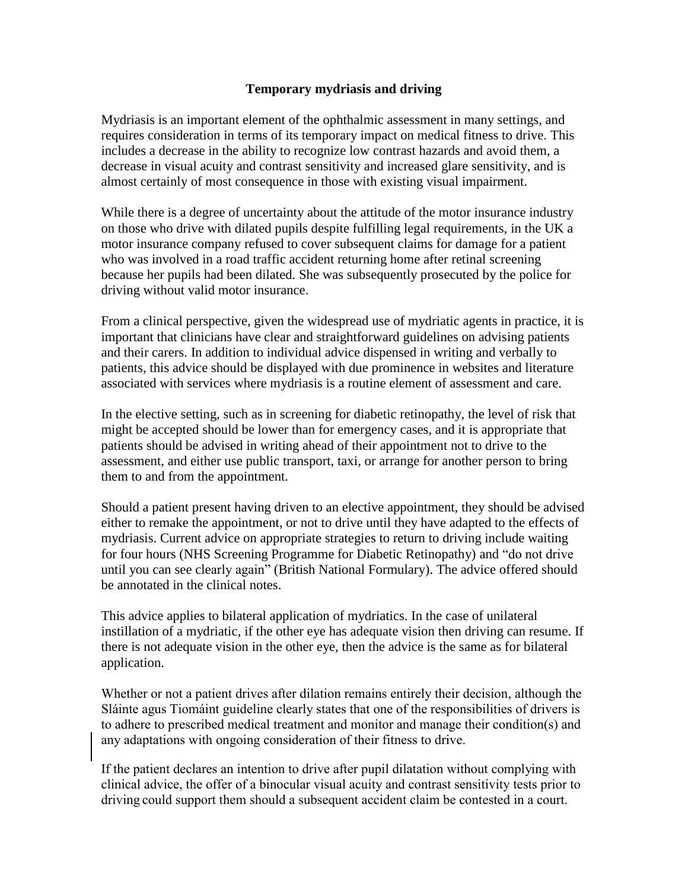## **Temporary mydriasis and driving**

Mydriasis is an important element of the ophthalmic assessment in many settings, and requires consideration in terms of its temporary impact on medical fitness to drive. This includes a decrease in the ability to recognize low contrast hazards and avoid them, a decrease in visual acuity and contrast sensitivity and increased glare sensitivity, and is almost certainly of most consequence in those with existing visual impairment.

While there is a degree of uncertainty about the attitude of the motor insurance industry on those who drive with dilated pupils despite fulfilling legal requirements, in the UK a motor insurance company refused to cover subsequent claims for damage for a patient who was involved in a road traffic accident returning home after retinal screening because her pupils had been dilated. She was subsequently prosecuted by the police for driving without valid motor insurance.

From a clinical perspective, given the widespread use of mydriatic agents in practice, it is important that clinicians have clear and straightforward guidelines on advising patients and their carers. In addition to individual advice dispensed in writing and verbally to patients, this advice should be displayed with due prominence in websites and literature associated with services where mydriasis is a routine element of assessment and care.

In the elective setting, such as in screening for diabetic retinopathy, the level of risk that might be accepted should be lower than for emergency cases, and it is appropriate that patients should be advised in writing ahead of their appointment not to drive to the assessment, and either use public transport, taxi, or arrange for another person to bring them to and from the appointment.

Should a patient present having driven to an elective appointment, they should be advised either to remake the appointment, or not to drive until they have adapted to the effects of mydriasis. Current advice on appropriate strategies to return to driving include waiting for four hours (NHS Screening Programme for Diabetic Retinopathy) and "do not drive until you can see clearly again" (British National Formulary). The advice offered should be annotated in the clinical notes.

This advice applies to bilateral application of mydriatics. In the case of unilateral instillation of a mydriatic, if the other eye has adequate vision then driving can resume. If there is not adequate vision in the other eye, then the advice is the same as for bilateral application.

Whether or not a patient drives after dilation remains entirely their decision, although the Sláinte agus Tiomáint guideline clearly states that one of the responsibilities of drivers is to adhere to prescribed medical treatment and monitor and manage their condition(s) and any adaptations with ongoing consideration of their fitness to drive.

If the patient declares an intention to drive after pupil dilatation without complying with clinical advice, the offer of a binocular visual acuity and contrast sensitivity tests prior to driving could support them should a subsequent accident claim be contested in a court.